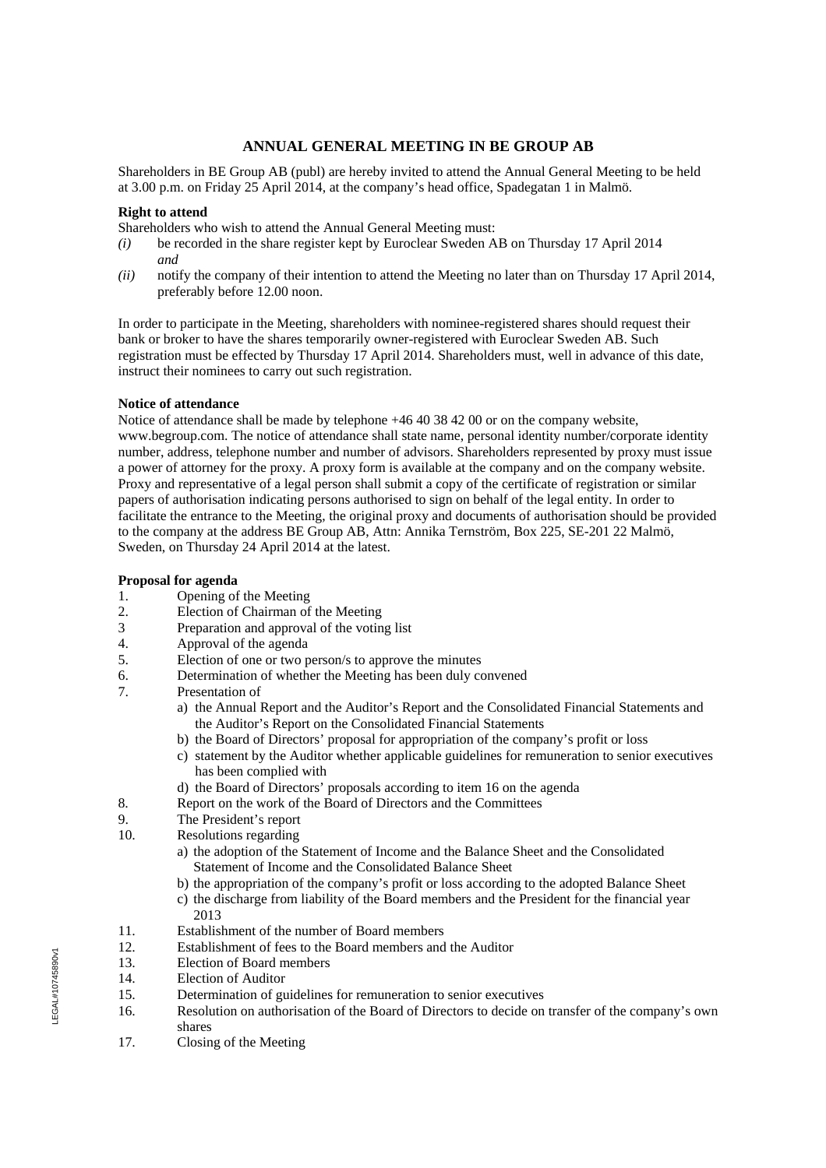# **ANNUAL GENERAL MEETING IN BE GROUP AB**

Shareholders in BE Group AB (publ) are hereby invited to attend the Annual General Meeting to be held at 3.00 p.m. on Friday 25 April 2014, at the company's head office, Spadegatan 1 in Malmö.

## **Right to attend**

Shareholders who wish to attend the Annual General Meeting must:

- *(i)* be recorded in the share register kept by Euroclear Sweden AB on Thursday 17 April 2014 *and*
- *(ii)* notify the company of their intention to attend the Meeting no later than on Thursday 17 April 2014, preferably before 12.00 noon.

In order to participate in the Meeting, shareholders with nominee-registered shares should request their bank or broker to have the shares temporarily owner-registered with Euroclear Sweden AB. Such registration must be effected by Thursday 17 April 2014. Shareholders must, well in advance of this date, instruct their nominees to carry out such registration.

## **Notice of attendance**

Notice of attendance shall be made by telephone +46 40 38 42 00 or on the company website, www.begroup.com. The notice of attendance shall state name, personal identity number/corporate identity number, address, telephone number and number of advisors. Shareholders represented by proxy must issue a power of attorney for the proxy. A proxy form is available at the company and on the company website. Proxy and representative of a legal person shall submit a copy of the certificate of registration or similar papers of authorisation indicating persons authorised to sign on behalf of the legal entity. In order to facilitate the entrance to the Meeting, the original proxy and documents of authorisation should be provided to the company at the address BE Group AB, Attn: Annika Ternström, Box 225, SE-201 22 Malmö, Sweden, on Thursday 24 April 2014 at the latest.

## **Proposal for agenda**

- 1. Opening of the Meeting
- 2. Election of Chairman of the Meeting
- 3 Preparation and approval of the voting list
- 4. Approval of the agenda<br>5. Election of one or two p
- Election of one or two person/s to approve the minutes
- 6. Determination of whether the Meeting has been duly convened
- 7. Presentation of
	- a) the Annual Report and the Auditor's Report and the Consolidated Financial Statements and the Auditor's Report on the Consolidated Financial Statements
	- b) the Board of Directors' proposal for appropriation of the company's profit or loss
	- c) statement by the Auditor whether applicable guidelines for remuneration to senior executives has been complied with
	- d) the Board of Directors' proposals according to item 16 on the agenda
- 8. Report on the work of the Board of Directors and the Committees
- 9. The President's report
- 10. Resolutions regarding
	- a) the adoption of the Statement of Income and the Balance Sheet and the Consolidated Statement of Income and the Consolidated Balance Sheet
	- b) the appropriation of the company's profit or loss according to the adopted Balance Sheet
	- c) the discharge from liability of the Board members and the President for the financial year 2013
- 11. Establishment of the number of Board members
- 12. Establishment of fees to the Board members and the Auditor
- 13. Election of Board members
- 14. Election of Auditor
- 15. Determination of guidelines for remuneration to senior executives
- 16. Resolution on authorisation of the Board of Directors to decide on transfer of the company's own shares
- 17. Closing of the Meeting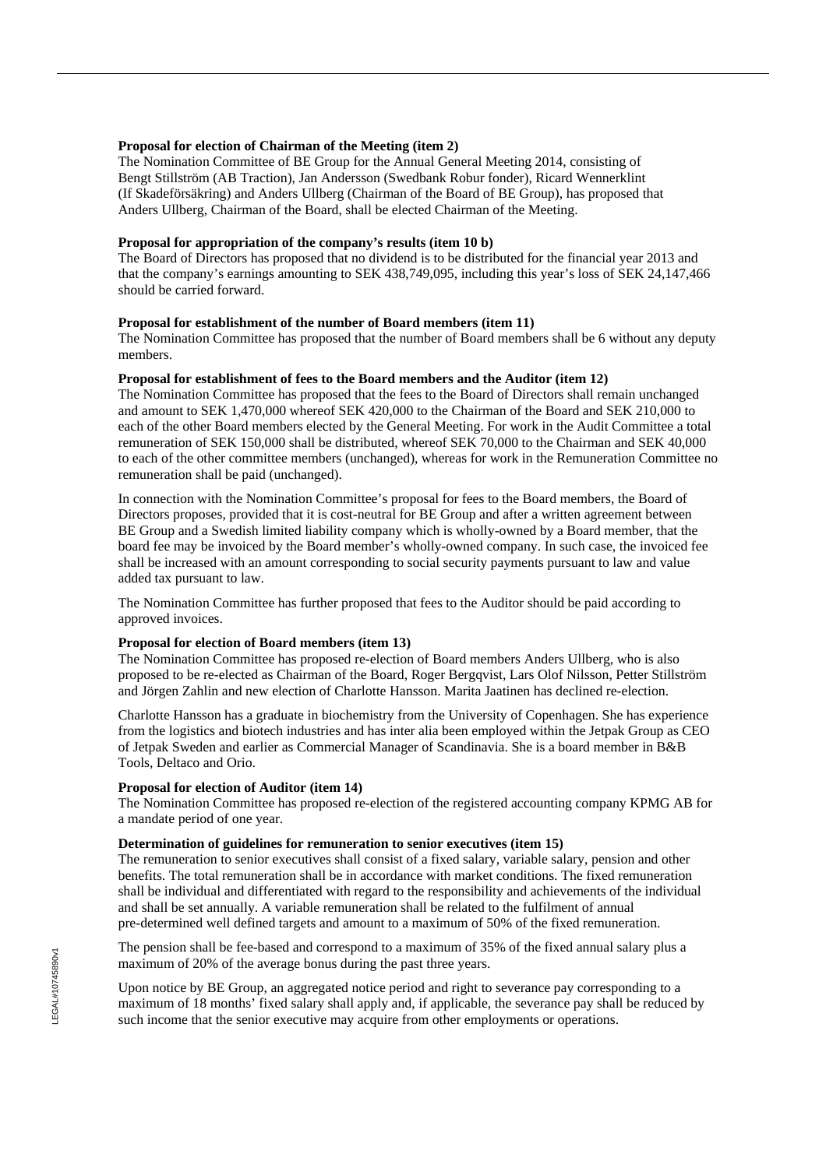## **Proposal for election of Chairman of the Meeting (item 2)**

The Nomination Committee of BE Group for the Annual General Meeting 2014, consisting of Bengt Stillström (AB Traction), Jan Andersson (Swedbank Robur fonder), Ricard Wennerklint (If Skadeförsäkring) and Anders Ullberg (Chairman of the Board of BE Group), has proposed that Anders Ullberg, Chairman of the Board, shall be elected Chairman of the Meeting.

## **Proposal for appropriation of the company's results (item 10 b)**

The Board of Directors has proposed that no dividend is to be distributed for the financial year 2013 and that the company's earnings amounting to SEK 438,749,095, including this year's loss of SEK 24,147,466 should be carried forward.

## **Proposal for establishment of the number of Board members (item 11)**

The Nomination Committee has proposed that the number of Board members shall be 6 without any deputy members.

## **Proposal for establishment of fees to the Board members and the Auditor (item 12)**

The Nomination Committee has proposed that the fees to the Board of Directors shall remain unchanged and amount to SEK 1,470,000 whereof SEK 420,000 to the Chairman of the Board and SEK 210,000 to each of the other Board members elected by the General Meeting. For work in the Audit Committee a total remuneration of SEK 150,000 shall be distributed, whereof SEK 70,000 to the Chairman and SEK 40,000 to each of the other committee members (unchanged), whereas for work in the Remuneration Committee no remuneration shall be paid (unchanged).

In connection with the Nomination Committee's proposal for fees to the Board members, the Board of Directors proposes, provided that it is cost-neutral for BE Group and after a written agreement between BE Group and a Swedish limited liability company which is wholly-owned by a Board member, that the board fee may be invoiced by the Board member's wholly-owned company. In such case, the invoiced fee shall be increased with an amount corresponding to social security payments pursuant to law and value added tax pursuant to law.

The Nomination Committee has further proposed that fees to the Auditor should be paid according to approved invoices.

#### **Proposal for election of Board members (item 13)**

The Nomination Committee has proposed re-election of Board members Anders Ullberg, who is also proposed to be re-elected as Chairman of the Board, Roger Bergqvist, Lars Olof Nilsson, Petter Stillström and Jörgen Zahlin and new election of Charlotte Hansson. Marita Jaatinen has declined re-election.

Charlotte Hansson has a graduate in biochemistry from the University of Copenhagen. She has experience from the logistics and biotech industries and has inter alia been employed within the Jetpak Group as CEO of Jetpak Sweden and earlier as Commercial Manager of Scandinavia. She is a board member in B&B Tools, Deltaco and Orio.

## **Proposal for election of Auditor (item 14)**

The Nomination Committee has proposed re-election of the registered accounting company KPMG AB for a mandate period of one year.

#### **Determination of guidelines for remuneration to senior executives (item 15)**

The remuneration to senior executives shall consist of a fixed salary, variable salary, pension and other benefits. The total remuneration shall be in accordance with market conditions. The fixed remuneration shall be individual and differentiated with regard to the responsibility and achievements of the individual and shall be set annually. A variable remuneration shall be related to the fulfilment of annual pre-determined well defined targets and amount to a maximum of 50% of the fixed remuneration.

The pension shall be fee-based and correspond to a maximum of 35% of the fixed annual salary plus a maximum of 20% of the average bonus during the past three years.

Upon notice by BE Group, an aggregated notice period and right to severance pay corresponding to a maximum of 18 months' fixed salary shall apply and, if applicable, the severance pay shall be reduced by such income that the senior executive may acquire from other employments or operations.